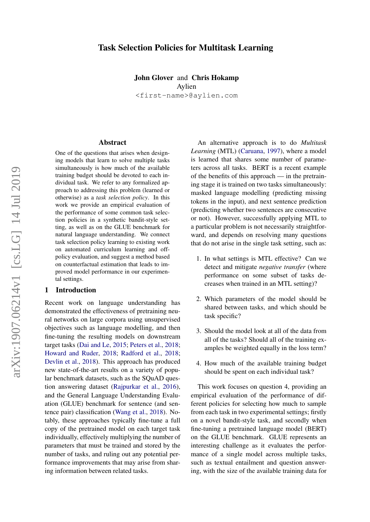# Task Selection Policies for Multitask Learning

John Glover and Chris Hokamp Aylien <first-name>@aylien.com

#### Abstract

One of the questions that arises when designing models that learn to solve multiple tasks simultaneously is how much of the available training budget should be devoted to each individual task. We refer to any formalized approach to addressing this problem (learned or otherwise) as a *task selection policy*. In this work we provide an empirical evaluation of the performance of some common task selection policies in a synthetic bandit-style setting, as well as on the GLUE benchmark for natural language understanding. We connect task selection policy learning to existing work on automated curriculum learning and offpolicy evaluation, and suggest a method based on counterfactual estimation that leads to improved model performance in our experimental settings.

### 1 Introduction

Recent work on language understanding has demonstrated the effectiveness of pretraining neural networks on large corpora using unsupervised objectives such as language modelling, and then fine-tuning the resulting models on downstream target tasks [\(Dai and Le,](#page-8-0) [2015;](#page-8-0) [Peters et al.,](#page-9-0) [2018;](#page-9-0) [Howard and Ruder,](#page-9-1) [2018;](#page-9-1) [Radford et al.,](#page-9-2) [2018;](#page-9-2) [Devlin et al.,](#page-8-1) [2018\)](#page-8-1). This approach has produced new state-of-the-art results on a variety of popular benchmark datasets, such as the SQuAD question answering dataset [\(Rajpurkar et al.,](#page-9-3) [2016\)](#page-9-3), and the General Language Understanding Evaluation (GLUE) benchmark for sentence (and sentence pair) classification [\(Wang et al.,](#page-10-0) [2018\)](#page-10-0). Notably, these approaches typically fine-tune a full copy of the pretrained model on each target task individually, effectively multiplying the number of parameters that must be trained and stored by the number of tasks, and ruling out any potential performance improvements that may arise from sharing information between related tasks.

An alternative approach is to do *Multitask Learning* (MTL) [\(Caruana,](#page-8-2) [1997\)](#page-8-2), where a model is learned that shares some number of parameters across all tasks. BERT is a recent example of the benefits of this approach — in the pretraining stage it is trained on two tasks simultaneously: masked language modelling (predicting missing tokens in the input), and next sentence prediction (predicting whether two sentences are consecutive or not). However, successfully applying MTL to a particular problem is not necessarily straightforward, and depends on resolving many questions that do not arise in the single task setting, such as:

- 1. In what settings is MTL effective? Can we detect and mitigate *negative transfer* (where performance on some subset of tasks decreases when trained in an MTL setting)?
- 2. Which parameters of the model should be shared between tasks, and which should be task specific?
- 3. Should the model look at all of the data from all of the tasks? Should all of the training examples be weighted equally in the loss term?
- 4. How much of the available training budget should be spent on each individual task?

This work focuses on question 4, providing an empirical evaluation of the performance of different policies for selecting how much to sample from each task in two experimental settings; firstly on a novel bandit-style task, and secondly when fine-tuning a pretrained language model (BERT) on the GLUE benchmark. GLUE represents an interesting challenge as it evaluates the performance of a single model across multiple tasks, such as textual entailment and question answering, with the size of the available training data for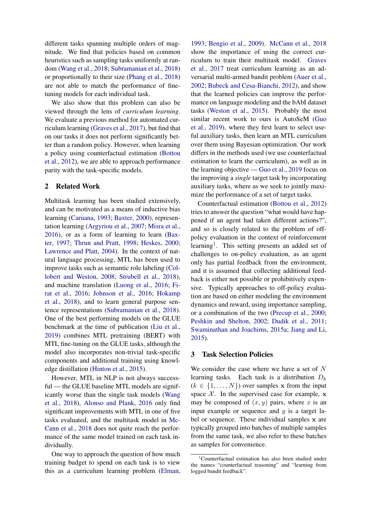different tasks spanning multiple orders of magnitude. We find that policies based on common heuristics such as sampling tasks uniformly at random [\(Wang et al.,](#page-10-0) [2018;](#page-10-0) [Subramanian et al.,](#page-9-4) [2018\)](#page-9-4) or proportionally to their size [\(Phang et al.,](#page-9-5) [2018\)](#page-9-5) are not able to match the performance of finetuning models for each individual task.

We also show that this problem can also be viewed through the lens of *curriculum learning*. We evaluate a previous method for automated curriculum learning [\(Graves et al.,](#page-8-3) [2017\)](#page-8-3), but find that on our tasks it does not perform significantly better than a random policy. However, when learning a policy using counterfactual estimation [\(Bottou](#page-8-4) [et al.,](#page-8-4) [2012\)](#page-8-4), we are able to approach performance parity with the task-specific models.

# 2 Related Work

Multitask learning has been studied extensively, and can be motivated as a means of inductive bias learning [\(Caruana,](#page-8-5) [1993;](#page-8-5) [Baxter,](#page-8-6) [2000\)](#page-8-6), representation learning [\(Argyriou et al.,](#page-8-7) [2007;](#page-8-7) [Misra et al.,](#page-9-6) [2016\)](#page-9-6), or as a form of learning to learn [\(Bax](#page-8-8)[ter,](#page-8-8) [1997;](#page-8-8) [Thrun and Pratt,](#page-10-1) [1998;](#page-10-1) [Heskes,](#page-9-7) [2000;](#page-9-7) [Lawrence and Platt,](#page-9-8) [2004\)](#page-9-8). In the context of natural language processing, MTL has been used to improve tasks such as semantic role labeling [\(Col](#page-8-9)[lobert and Weston,](#page-8-9) [2008;](#page-8-9) [Strubell et al.,](#page-9-9) [2018\)](#page-9-9), and machine translation [\(Luong et al.,](#page-9-10) [2016;](#page-9-10) [Fi](#page-8-10)[rat et al.,](#page-8-10) [2016;](#page-8-10) [Johnson et al.,](#page-9-11) [2016;](#page-9-11) [Hokamp](#page-9-12) [et al.,](#page-9-12) [2018\)](#page-9-12), and to learn general purpose sentence representations [\(Subramanian et al.,](#page-9-4) [2018\)](#page-9-4). One of the best performing models on the GLUE benchmark at the time of publication [\(Liu et al.,](#page-9-13) [2019\)](#page-9-13) combines MTL pretraining (BERT) with MTL fine-tuning on the GLUE tasks, although the model also incorporates non-trivial task-specific components and additional training using knowledge distillation [\(Hinton et al.,](#page-9-14) [2015\)](#page-9-14).

However, MTL in NLP is not always successful — the GLUE baseline MTL models are significantly worse than the single task models [\(Wang](#page-10-0) [et al.,](#page-10-0) [2018\)](#page-10-0), [Alonso and Plank,](#page-8-11) [2016](#page-8-11) only find significant improvements with MTL in one of five tasks evaluated, and the multitask model in [Mc-](#page-9-15)[Cann et al.,](#page-9-15) [2018](#page-9-15) does not quite reach the performance of the same model trained on each task individually.

One way to approach the question of how much training budget to spend on each task is to view this as a curriculum learning problem [\(Elman,](#page-8-12)

[1993;](#page-8-12) [Bengio et al.,](#page-8-13) [2009\)](#page-8-13). [McCann et al.,](#page-9-15) [2018](#page-9-15) show the importance of using the correct curriculum to train their multitask model. [Graves](#page-8-3) [et al.,](#page-8-3) [2017](#page-8-3) treat curriculum learning as an adversarial multi-armed bandit problem [\(Auer et al.,](#page-8-14) [2002;](#page-8-14) [Bubeck and Cesa-Bianchi,](#page-8-15) [2012\)](#page-8-15), and show that the learned policies can improve the performance on language modeling and the bAbI dataset tasks [\(Weston et al.,](#page-10-2) [2015\)](#page-10-2). Probably the most similar recent work to ours is AutoSeM [\(Guo](#page-8-16) [et al.,](#page-8-16) [2019\)](#page-8-16), where they first learn to select useful auxiliary tasks, then learn an MTL curriculum over them using Bayesian optimization. Our work differs in the methods used (we use counterfactual estimation to learn the curriculum), as well as in the learning objective — [Guo et al.,](#page-8-16) [2019](#page-8-16) focus on the improving a *single* target task by incorporating auxiliary tasks, where as we seek to jointly maximize the performance of a set of target tasks.

Counterfactual estimation [\(Bottou et al.,](#page-8-4) [2012\)](#page-8-4) tries to answer the question "what would have happened if an agent had taken different actions?", and so is closely related to the problem of offpolicy evaluation in the context of reinforcement learning<sup>[1](#page-1-0)</sup>. This setting presents an added set of challenges to on-policy evaluation, as an agent only has partial feedback from the environment, and it is assumed that collecting additional feedback is either not possible or prohibitively expensive. Typically approaches to off-policy evaluation are based on either modeling the environment dynamics and reward, using importance sampling, or a combination of the two [\(Precup et al.,](#page-9-16) [2000;](#page-9-16) [Peshkin and Shelton,](#page-9-17) [2002;](#page-9-17) [Dudik et al.,](#page-8-17) [2011;](#page-8-17) [Swaminathan and Joachims,](#page-9-18) [2015a;](#page-9-18) [Jiang and Li,](#page-9-19) [2015\)](#page-9-19).

### 3 Task Selection Policies

We consider the case where we have a set of  $N$ learning tasks. Each task is a distribution  $D_k$  $(k \in \{1, \ldots, N\})$  over samples x from the input space  $X$ . In the supervised case for example, x may be composed of  $(x, y)$  pairs, where x is an input example or sequence and  $y$  is a target label or sequence. These individual samples x are typically grouped into batches of multiple samples from the same task, we also refer to these batches as samples for convenience.

<span id="page-1-0"></span><sup>&</sup>lt;sup>1</sup>Counterfactual estimation has also been studied under the names "counterfactual reasoning" and "learning from logged bandit feedback".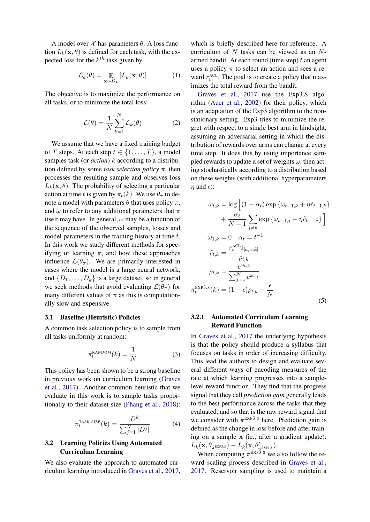A model over  $X$  has parameters  $\theta$ . A loss function  $L_k(\mathbf{x}, \theta)$  is defined for each task, with the expected loss for the  $k^{th}$  task given by

$$
\mathcal{L}_k(\theta) = \mathop{\mathbb{E}}_{\mathbf{x} \sim D_k} [L_k(\mathbf{x}, \theta)] \tag{1}
$$

The objective is to maximize the performance on all tasks, or to minimize the total loss:

$$
\mathcal{L}(\theta) = \frac{1}{N} \sum_{k=1}^{N} \mathcal{L}_k(\theta)
$$
 (2)

We assume that we have a fixed training budget of T steps. At each step  $t \in \{1, \ldots, T\}$ , a model samples task (or *action*) k according to a distribution defined by some *task selection policy*  $\pi$ , then processes the resulting sample and observes loss  $L_k(\mathbf{x}, \theta)$ . The probability of selecting a particular action at time t is given by  $\pi_t(k)$ . We use  $\theta_{\pi}$  to denote a model with parameters  $\theta$  that uses policy  $\pi$ , and  $\omega$  to refer to any additional parameters that  $\pi$ itself may have. In general,  $\omega$  may be a function of the sequence of the observed samples, losses and model parameters in the training history at time t. In this work we study different methods for specifying or learning  $\pi$ , and how these approaches influence  $\mathcal{L}(\theta_\pi)$ . We are primarily interested in cases where the model is a large neural network, and  $\{D_1, \ldots, D_k\}$  is a large dataset, so in general we seek methods that avoid evaluating  $\mathcal{L}(\theta_{\pi})$  for many different values of  $\pi$  as this is computationally slow and expensive.

### 3.1 Baseline (Heuristic) Policies

A common task selection policy is to sample from all tasks uniformly at random:

$$
\pi_t^{\text{RANDOM}}(k) = \frac{1}{N} \tag{3}
$$

This policy has been shown to be a strong baseline in previous work on curriculum learning [\(Graves](#page-8-3) [et al.,](#page-8-3) [2017\)](#page-8-3). Another common heuristic that we evaluate in this work is to sample tasks proportionally to their dataset size [\(Phang et al.,](#page-9-5) [2018\)](#page-9-5):

$$
\pi_t^{\text{TASK SIZE}}(k) = \frac{|D^k|}{\sum_{j=1}^N |D^j|} \tag{4}
$$

## 3.2 Learning Policies Using Automated Curriculum Learning

We also evaluate the approach to automated curriculum learning introduced in [Graves et al.,](#page-8-3) [2017,](#page-8-3)

which is briefly described here for reference. A curriculum of  $N$  tasks can be viewed as an  $N$ armed bandit. At each round (time step)  $t$  an agent uses a policy  $\pi$  to select an action and sees a reward  $r_t^{\text{ACL}}$ . The goal is to create a policy that maximizes the total reward from the bandit.

[Graves et al.,](#page-8-3) [2017](#page-8-3) use the Exp3.S algorithm [\(Auer et al.,](#page-8-14) [2002\)](#page-8-14) for their policy, which is an adaptation of the Exp3 algorithm to the nonstationary setting. Exp3 tries to minimize the regret with respect to a single best arm in hindsight, assuming an adversarial setting in which the distribution of rewards over arms can change at every time step. It does this by using importance sampled rewards to update a set of weights  $\omega$ , then acting stochastically according to a distribution based on these weights (with additional hyperparameters  $\eta$  and  $\epsilon$ ):

$$
\omega_{t,k} = \log\left[ (1 - \alpha_t) \exp\left\{ \omega_{t-1,k} + \eta \tilde{r}_{t-1,k} \right\} \right]
$$

$$
+ \frac{\alpha_t}{N-1} \sum_{j \neq k} \exp\left\{ \omega_{t-1,j} + \eta \tilde{r}_{t-1,j} \right\} \right]
$$

$$
\omega_{1,k} = 0 \quad \alpha_t = t^{-1}
$$

$$
\tilde{r}_{t,k} = \frac{r_t^{\text{ACL}} \mathbb{I}_{[a_t=k]}}{\rho_{t,k}}
$$

$$
\rho_{t,k} = \frac{e^{\omega_{t,k}}}{\sum_{j=1}^N e^{\omega_{t,j}}}
$$

$$
\pi_t^{\text{EXP3.S}}(k) = (1 - \epsilon)\rho_{t,k} + \frac{\epsilon}{N}
$$
(5)

## 3.2.1 Automated Curriculum Learning Reward Function

In [Graves et al.,](#page-8-3) [2017](#page-8-3) the underlying hypothesis is that the policy should produce a syllabus that focuses on tasks in order of increasing difficulty. This lead the authors to design and evaluate several different ways of encoding measures of the rate at which learning progresses into a samplelevel reward function. They find that the progress signal that they call *prediction gain* generally leads to the best performance across the tasks that they evaluated, and so that is the raw reward signal that we consider with  $\pi^{\text{EXP3.S}}$  here. Prediction gain is defined as the change in loss before and after training on a sample x (ie., after a gradient update):  $L_k(\mathbf{x}, \theta_{\pi^{\texttt{EXP3.S}}}) - L_k(\mathbf{x}, \theta'_{\pi^{\texttt{EXP3.S}}}).$ 

When computing  $\pi^{EXP3.5}$  we also follow the reward scaling process described in [Graves et al.,](#page-8-3) [2017.](#page-8-3) Reservoir sampling is used to maintain a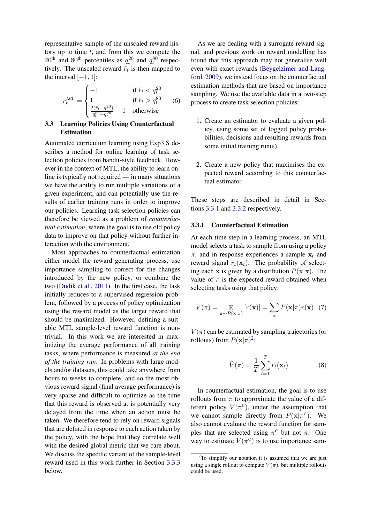representative sample of the unscaled reward history up to time  $t$ , and from this we compute the  $20<sup>th</sup>$  and  $80<sup>th</sup>$  percentiles as  $q_t^{20}$  and  $q_t^{80}$  respectively. The unscaled reward  $\hat{r}_t$  is then mapped to the interval  $[-1, 1]$ :

$$
r_t^{\text{ACL}} = \begin{cases} -1 & \text{if } \hat{r}_t < q_t^{20} \\ 1 & \text{if } \hat{r}_t > q_t^{80} \\ \frac{2(\hat{r}_t - q_t^{20})}{q_t^{80} - q_t^{20}} - 1 & \text{otherwise} \end{cases} \tag{6}
$$

## 3.3 Learning Policies Using Counterfactual Estimation

Automated curriculum learning using Exp3.S describes a method for online learning of task selection policies from bandit-style feedback. However in the context of MTL, the ability to learn online is typically not required — in many situations we have the ability to run multiple variations of a given experiment, and can potentially use the results of earlier training runs in order to improve our policies. Learning task selection policies can therefore be viewed as a problem of *counterfactual estimation*, where the goal is to use old policy data to improve on that policy without further interaction with the environment.

Most approaches to counterfactual estimation either model the reward generating process, use importance sampling to correct for the changes introduced by the new policy, or combine the two [\(Dudik et al.,](#page-8-17) [2011\)](#page-8-17). In the first case, the task initially reduces to a supervised regression problem, followed by a process of policy optimization using the reward model as the target reward that should be maximized. However, defining a suitable MTL sample-level reward function is nontrivial. In this work we are interested in maximizing the average performance of all training tasks, where performance is measured *at the end of the training run*. In problems with large models and/or datasets, this could take anywhere from hours to weeks to complete, and so the most obvious reward signal (final average performance) is very sparse and difficult to optimize as the time that this reward is observed at is potentially very delayed from the time when an action must be taken. We therefore tend to rely on reward signals that are defined in response to each action taken by the policy, with the hope that they correlate well with the desired global metric that we care about. We discuss the specific variant of the sample-level reward used in this work further in Section [3.3.3](#page-4-0) below.

As we are dealing with a surrogate reward signal, and previous work on reward modelling has found that this approach may not generalise well even with exact rewards [\(Beygelzimer and Lang](#page-8-18)[ford,](#page-8-18) [2009\)](#page-8-18), we instead focus on the counterfactual estimation methods that are based on importance sampling. We use the available data in a two-step process to create task selection policies:

- 1. Create an estimator to evaluate a given policy, using some set of logged policy probabilities, decisions and resulting rewards from some initial training run(s).
- 2. Create a new policy that maximises the expected reward according to this counterfactual estimator.

These steps are described in detail in Sections [3.3.1](#page-3-0) and [3.3.2](#page-4-1) respectively.

#### <span id="page-3-0"></span>3.3.1 Counterfactual Estimation

At each time step in a learning process, an MTL model selects a task to sample from using a policy  $\pi$ , and in response experiences a sample  $x_t$  and reward signal  $r_t(\mathbf{x}_t)$ . The probability of selecting each x is given by a distribution  $P(x|\pi)$ . The value of  $\pi$  is the expected reward obtained when selecting tasks using that policy:

$$
V(\pi) = \mathop{\mathbb{E}}_{\mathbf{x} \sim P(\mathbf{x}|\pi)} [r(\mathbf{x})] = \sum_{\mathbf{x}} P(\mathbf{x}|\pi) r(\mathbf{x}) \tag{7}
$$

 $V(\pi)$  can be estimated by sampling trajectories (or rollouts) from  $P(\mathbf{x}|\pi)^2$  $P(\mathbf{x}|\pi)^2$ :

$$
\hat{V}(\pi) = \frac{1}{T} \sum_{t=1}^{T} r_t(\mathbf{x}_t)
$$
\n(8)

In counterfactual estimation, the goal is to use rollouts from  $\pi$  to approximate the value of a different policy  $V(\pi^{\mathcal{C}})$ , under the assumption that we cannot sample directly from  $P(\mathbf{x}|\pi^c)$ . We also cannot evaluate the reward function for samples that are selected using  $\pi^c$  but not  $\pi$ . One way to estimate  $V(\pi^c)$  is to use importance sam-

<span id="page-3-1"></span> $2$ To simplify our notation it is assumed that we are just using a single rollout to compute  $\hat{V}(\pi)$ , but multiple rollouts could be used.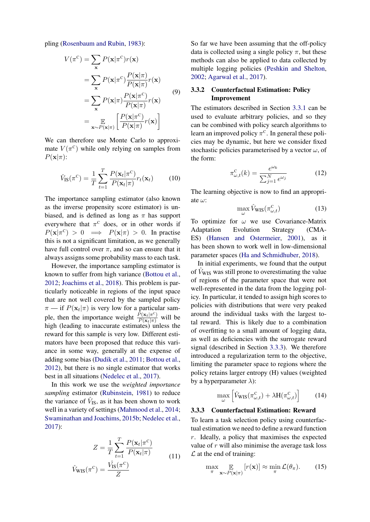pling [\(Rosenbaum and Rubin,](#page-9-20) [1983\)](#page-9-20):

$$
V(\pi^{\mathbf{C}}) = \sum_{\mathbf{x}} P(\mathbf{x}|\pi^{\mathbf{C}})r(\mathbf{x})
$$
  
\n
$$
= \sum_{\mathbf{x}} P(\mathbf{x}|\pi^{\mathbf{C}}) \frac{P(\mathbf{x}|\pi)}{P(\mathbf{x}|\pi)} r(\mathbf{x})
$$
  
\n
$$
= \sum_{\mathbf{x}} P(\mathbf{x}|\pi) \frac{P(\mathbf{x}|\pi^{\mathbf{C}})}{P(\mathbf{x}|\pi)} r(\mathbf{x})
$$
  
\n
$$
= \mathop{\mathbb{E}}_{\mathbf{x} \sim P(\mathbf{x}|\pi)} \left[ \frac{P(\mathbf{x}|\pi^{\mathbf{C}})}{P(\mathbf{x}|\pi)} r(\mathbf{x}) \right]
$$
 (9)

We can therefore use Monte Carlo to approximate  $V(\pi^c)$  while only relying on samples from  $P(\mathbf{x}|\pi)$ :

$$
\hat{V}_{\rm IS}(\pi^{\rm C}) = \frac{1}{T} \sum_{t=1}^{T} \frac{P(\mathbf{x}_t | \pi^{\rm C})}{P(\mathbf{x}_t | \pi)} r_t(\mathbf{x}_t)
$$
(10)

The importance sampling estimator (also known as the inverse propensity score estimator) is unbiased, and is defined as long as  $\pi$  has support everywhere that  $\pi^c$  does, or in other words if  $P(\mathbf{x}|\pi^c) > 0 \implies P(\mathbf{x}|\pi) > 0$ . In practise this is not a significant limitation, as we generally have full control over  $\pi$ , and so can ensure that it always assigns some probability mass to each task.

However, the importance sampling estimator is known to suffer from high variance [\(Bottou et al.,](#page-8-4) [2012;](#page-8-4) [Joachims et al.,](#page-9-21) [2018\)](#page-9-21). This problem is particularly noticeable in regions of the input space that are not well covered by the sampled policy  $\pi$  — if  $P(\mathbf{x}_t|\pi)$  is very low for a particular sample, then the importance weight  $\frac{P(\mathbf{x}_t | \pi^c)}{P(\mathbf{x}_t | \pi)}$  will be high (leading to inaccurate estimates) unless the reward for this sample is very low. Different estimators have been proposed that reduce this variance in some way, generally at the expense of adding some bias [\(Dudik et al.,](#page-8-17) [2011;](#page-8-17) [Bottou et al.,](#page-8-4) [2012\)](#page-8-4), but there is no single estimator that works best in all situations [\(Nedelec et al.,](#page-9-22) [2017\)](#page-9-22).

In this work we use the *weighted importance sampling* estimator [\(Rubinstein,](#page-9-23) [1981\)](#page-9-23) to reduce the variance of  $\hat{V}_{IS}$ , as it has been shown to work well in a variety of settings [\(Mahmood et al.,](#page-9-24) [2014;](#page-9-24) [Swaminathan and Joachims,](#page-10-3) [2015b;](#page-10-3) [Nedelec et al.,](#page-9-22) [2017\)](#page-9-22):

$$
Z = \frac{1}{T} \sum_{t=1}^{T} \frac{P(\mathbf{x}_t | \pi^c)}{P(\mathbf{x}_t | \pi)}
$$
  

$$
\hat{V}_{\text{WIS}}(\pi^c) = \frac{\hat{V_{\text{IS}}}(\pi^c)}{Z}
$$
 (11)

So far we have been assuming that the off-policy data is collected using a single policy  $\pi$ , but these methods can also be applied to data collected by multiple logging policies [\(Peshkin and Shelton,](#page-9-17) [2002;](#page-9-17) [Agarwal et al.,](#page-8-19) [2017\)](#page-8-19).

## <span id="page-4-1"></span>3.3.2 Counterfactual Estimation: Policy Improvement

The estimators described in Section [3.3.1](#page-3-0) can be used to evaluate arbitrary policies, and so they can be combined with policy search algorithms to learn an improved policy  $\pi^c$ . In general these policies may be dynamic, but here we consider fixed stochastic policies parameterised by a vector  $\omega$ , of the form:

$$
\pi_{\omega,t}^{\mathcal{C}}(k) = \frac{e^{\omega_k}}{\sum_{j=1}^{N} e^{\omega_j}}
$$
(12)

The learning objective is now to find an appropriate  $\omega$ :

$$
\max_{\omega} \hat{V}_{\text{WIS}}(\pi_{\omega,t}^{\text{C}})
$$
 (13)

To optimize for  $\omega$  we use Covariance-Matrix Adaptation Evolution Strategy (CMA-ES) [\(Hansen and Ostermeier,](#page-9-25) [2001\)](#page-9-25), as it has been shown to work well in low-dimensional parameter spaces [\(Ha and Schmidhuber,](#page-8-20) [2018\)](#page-8-20).

In initial experiments, we found that the output of  $V_{\text{WIS}}$  was still prone to overestimating the value of regions of the parameter space that were not well-represented in the data from the logging policy. In particular, it tended to assign high scores to policies with distributions that were very peaked around the individual tasks with the largest total reward. This is likely due to a combination of overfitting to a small amount of logging data, as well as deficiencies with the surrogate reward signal (described in Section [3.3.3\)](#page-4-0). We therefore introduced a regularization term to the objective, limiting the parameter space to regions where the policy retains larger entropy (H) values (weighted by a hyperparameter  $\lambda$ ):

$$
\max_{\omega} \left[ \hat{V}_{\text{WIS}}(\pi_{\omega,t}^{\text{C}}) + \lambda \mathbf{H}(\pi_{\omega,t}^{\text{C}}) \right] \tag{14}
$$

## <span id="page-4-0"></span>3.3.3 Counterfactual Estimation: Reward

To learn a task selection policy using counterfactual estimation we need to define a reward function r. Ideally, a policy that maximises the expected value of  $r$  will also minimise the average task loss  $\mathcal L$  at the end of training:

$$
\max_{\pi} \mathop{\mathbb{E}}_{\mathbf{x} \sim P(\mathbf{x}|\pi)} [r(\mathbf{x})] \approx \min_{\pi} \mathcal{L}(\theta_{\pi}). \tag{15}
$$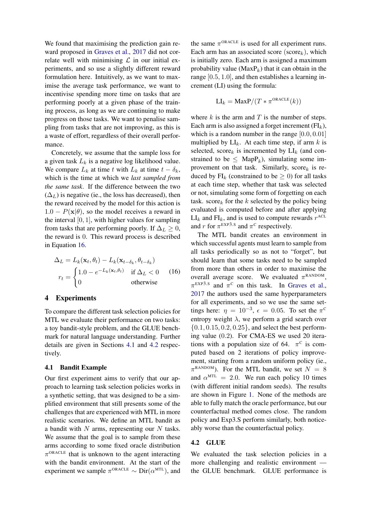We found that maximising the prediction gain reward proposed in [Graves et al.,](#page-8-3) [2017](#page-8-3) did not correlate well with minimising  $\mathcal L$  in our initial experiments, and so use a slightly different reward formulation here. Intuitively, as we want to maximise the average task performance, we want to incentivise spending more time on tasks that are performing poorly at a given phase of the training process, as long as we are continuing to make progress on those tasks. We want to penalise sampling from tasks that are not improving, as this is a waste of effort, regardless of their overall performance.

Concretely, we assume that the sample loss for a given task  $L_k$  is a negative log likelihood value. We compare  $L_k$  at time t with  $L_k$  at time  $t - \delta_k$ , which is the time at which we *last sampled from the same task*. If the difference between the two  $(\Delta_L)$  is negative (ie., the loss has decreased), then the reward received by the model for this action is  $1.0 - P(x|\theta)$ , so the model receives a reward in the interval  $[0, 1]$ , with higher values for sampling from tasks that are performing poorly. If  $\Delta_L \geq 0$ , the reward is 0. This reward process is described in Equation [16.](#page-5-0)

<span id="page-5-0"></span>
$$
\Delta_L = L_k(\mathbf{x}_t, \theta_t) - L_k(\mathbf{x}_{t-\delta_k}, \theta_{t-\delta_k})
$$
  

$$
r_t = \begin{cases} 1.0 - e^{-L_k(\mathbf{x}_t, \theta_t)} & \text{if } \Delta_L < 0 \\ 0 & \text{otherwise} \end{cases}
$$
 (16)

## 4 Experiments

To compare the different task selection policies for MTL we evaluate their performance on two tasks: a toy bandit-style problem, and the GLUE benchmark for natural language understanding. Further details are given in Sections [4.1](#page-5-1) and [4.2](#page-5-2) respectively.

### <span id="page-5-1"></span>4.1 Bandit Example

Our first experiment aims to verify that our approach to learning task selection policies works in a synthetic setting, that was designed to be a simplified environment that still presents some of the challenges that are experienced with MTL in more realistic scenarios. We define an MTL bandit as a bandit with  $N$  arms, representing our  $N$  tasks. We assume that the goal is to sample from these arms according to some fixed oracle distribution  $\pi$ <sup>ORACLE</sup> that is unknown to the agent interacting with the bandit environment. At the start of the experiment we sample  $\pi^{\text{ORACLE}} \sim \text{Dir}(\alpha^{\text{MTL}})$ , and

the same  $\pi^{ORACLE}$  is used for all experiment runs. Each arm has an associated score ( $score_k$ ), which is initially zero. Each arm is assigned a maximum probability value ( $\text{MaxP}_k$ ) that it can obtain in the range [0.5, 1.0], and then establishes a learning increment (LI) using the formula:

$$
LI_k = \text{MaxP}/(T * \pi^{\text{ORACLE}}(k))
$$

where  $k$  is the arm and  $T$  is the number of steps. Each arm is also assigned a forget increment  $(FI_k)$ , which is a random number in the range  $[0.0, 0.01]$ multiplied by  $LI_k$ . At each time step, if arm k is selected, score<sub>k</sub> is incremented by  $LI_k$  (and constrained to be  $\leq$  MapP<sub>k</sub>), simulating some improvement on that task. Similarly,  $score_k$  is reduced by  $FI_k$  (constrained to be  $\geq$  0) for all tasks at each time step, whether that task was selected or not, simulating some form of forgetting on each task. score<sub>k</sub> for the k selected by the policy being evaluated is computed before and after applying  $LI_k$  and FI<sub>k</sub>, and is used to compute rewards  $r^{\text{ACL}}$ and r for  $\pi^{\text{EXP3.S}}$  and  $\pi^{\text{C}}$  respectively.

The MTL bandit creates an environment in which successful agents must learn to sample from all tasks periodically so as not to "forget", but should learn that some tasks need to be sampled from more than others in order to maximise the overall average score. We evaluated  $\pi^{\text{RANDOM}}$ ,  $\pi^{\text{EXP3.S}}$  and  $\pi^{\text{C}}$  on this task. In [Graves et al.,](#page-8-3) [2017](#page-8-3) the authors used the same hyperparameters for all experiments, and so we use the same settings here:  $\eta = 10^{-3}$ ,  $\epsilon = 0.05$ . To set the  $\pi^{\text{C}}$ entropy weight  $\lambda$ , we perform a grid search over  $\{0.1, 0.15, 0.2, 0.25\}$ , and select the best performing value (0.2). For CMA-ES we used 20 iterations with a population size of 64.  $\pi^c$  is computed based on 2 iterations of policy improvement, starting from a random uniform policy (ie.,  $\pi^{\text{RANDOM}}$ ). For the MTL bandit, we set  $N = 8$ and  $\alpha^{\text{MTL}} = 2.0$ . We run each policy 10 times (with different initial random seeds). The results are shown in Figure [1.](#page-6-0) None of the methods are able to fully match the oracle performance, but our counterfactual method comes close. The random policy and Exp3.S perform similarly, both noticeably worse than the counterfactual policy.

#### <span id="page-5-2"></span>4.2 GLUE

We evaluated the task selection policies in a more challenging and realistic environment the GLUE benchmark. GLUE performance is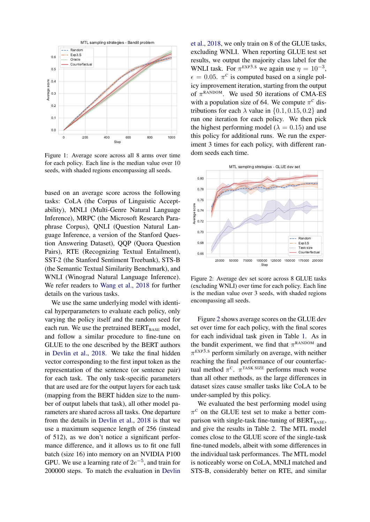<span id="page-6-0"></span>

Figure 1: Average score across all 8 arms over time for each policy. Each line is the median value over 10 seeds, with shaded regions encompassing all seeds.

based on an average score across the following tasks: CoLA (the Corpus of Linguistic Acceptability), MNLI (Multi-Genre Natural Language Inference), MRPC (the Microsoft Research Paraphrase Corpus), QNLI (Question Natural Language Inference, a version of the Stanford Question Answering Dataset), QQP (Quora Question Pairs), RTE (Recognizing Textual Entailment), SST-2 (the Stanford Sentiment Treebank), STS-B (the Semantic Textual Similarity Benchmark), and WNLI (Winograd Natural Language Inference). We refer readers to [Wang et al.,](#page-10-0) [2018](#page-10-0) for further details on the various tasks.

We use the same underlying model with identical hyperparameters to evaluate each policy, only varying the policy itself and the random seed for each run. We use the pretrained  $BERT_{BASE}$  model, and follow a similar procedure to fine-tune on GLUE to the one described by the BERT authors in [Devlin et al.,](#page-8-1) [2018.](#page-8-1) We take the final hidden vector corresponding to the first input token as the representation of the sentence (or sentence pair) for each task. The only task-specific parameters that are used are for the output layers for each task (mapping from the BERT hidden size to the number of output labels that task), all other model parameters are shared across all tasks. One departure from the details in [Devlin et al.,](#page-8-1) [2018](#page-8-1) is that we use a maximum sequence length of 256 (instead of 512), as we don't notice a significant performance difference, and it allows us to fit one full batch (size 16) into memory on an NVIDIA P100 GPU. We use a learning rate of  $2e^{-5}$ , and train for 200000 steps. To match the evaluation in [Devlin](#page-8-1) [et al.,](#page-8-1) [2018,](#page-8-1) we only train on 8 of the GLUE tasks, excluding WNLI. When reporting GLUE test set results, we output the majority class label for the WNLI task. For  $\pi$ <sup>EXP3.s</sup> we again use  $\eta = 10^{-3}$ ,  $\epsilon = 0.05$ .  $\pi^c$  is computed based on a single policy improvement iteration, starting from the output of  $\pi^{\text{RANDOM}}$ . We used 50 iterations of CMA-ES with a population size of 64. We compute  $\pi^{\text{c}}$  distributions for each  $\lambda$  value in {0.1, 0.15, 0.2} and run one iteration for each policy. We then pick the highest performing model ( $\lambda = 0.15$ ) and use this policy for additional runs. We run the experiment 3 times for each policy, with different random seeds each time.

<span id="page-6-1"></span>

Figure 2: Average dev set score across 8 GLUE tasks (excluding WNLI) over time for each policy. Each line is the median value over 3 seeds, with shaded regions encompassing all seeds.

Figure [2](#page-6-1) shows average scores on the GLUE dev set over time for each policy, with the final scores for each individual task given in Table [1.](#page-7-0) As in the bandit experiment, we find that  $\pi^{\text{RANDOM}}$  and  $\pi^{\text{EXP3.S}}$  perform similarly on average, with neither reaching the final performance of our counterfactual method  $\pi^C$ .  $\pi^{TASK\, SIZE}$  performs much worse than all other methods, as the large differences in dataset sizes cause smaller tasks like CoLA to be under-sampled by this policy.

We evaluated the best performing model using  $\pi^c$  on the GLUE test set to make a better comparison with single-task fine-tuning of  $BERT_{BASE}$ , and give the results in Table [2.](#page-7-1) The MTL model comes close to the GLUE score of the single-task fine-tuned models, albeit with some differences in the individual task performances. The MTL model is noticeably worse on CoLA, MNLI matched and STS-B, considerably better on RTE, and similar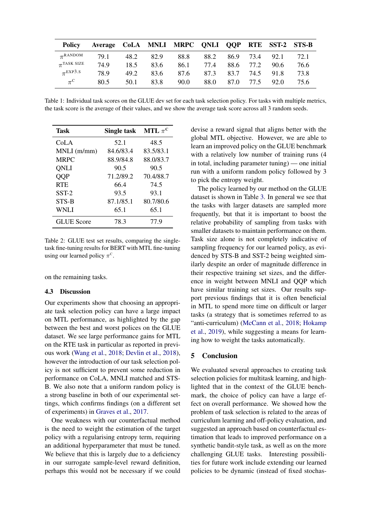<span id="page-7-0"></span>

| <b>Policy</b>            | Average CoLA MNLI MRPC QNLI QQP RTE SST-2 STS-B |      |      |      |      |      |      |           |      |
|--------------------------|-------------------------------------------------|------|------|------|------|------|------|-----------|------|
| $\pi$ RANDOM             | 79.1                                            | 48.2 | 82.9 | 88.8 | 88.2 | 86.9 |      | 73.4 92.1 | 72.1 |
| $\pi^{\text{TASK SIZE}}$ | 74.9                                            | 18.5 | 83.6 | 86.1 | 77.4 | 88.6 | 77.2 | 90.6      | 76.6 |
| $\pi$ EXP3.S             | 78.9                                            | 49.2 | 83.6 | 87.6 | 87.3 | 83.7 |      | 74.5 91.8 | 73.8 |
| $\pi^{\text{C}}$         | 80.5                                            | 50.1 | 83.8 | 90.0 | 88.0 | 87.0 | 77.5 | 92.0      | 75.6 |

Table 1: Individual task scores on the GLUE dev set for each task selection policy. For tasks with multiple metrics, the task score is the average of their values, and we show the average task score across all 3 random seeds.

<span id="page-7-1"></span>

| Task              | Single task | MTL $\pi^{\rm C}$ |
|-------------------|-------------|-------------------|
| CoLA              | 52.1        | 48.5              |
| MNLI (m/mm)       | 84.6/83.4   | 83.5/83.1         |
| <b>MRPC</b>       | 88.9/84.8   | 88.0/83.7         |
| <b>ONLI</b>       | 90.5        | 90.5              |
| <b>OOP</b>        | 71.2/89.2   | 70.4/88.7         |
| <b>RTE</b>        | 66.4        | 74.5              |
| $SST-2$           | 93.5        | 93.1              |
| STS-B             | 87.1/85.1   | 80.7/80.6         |
| <b>WNLI</b>       | 65.1        | 65.1              |
| <b>GLUE</b> Score | 78.3        | 77.9              |

Table 2: GLUE test set results, comparing the singletask fine-tuning results for BERT with MTL fine-tuning using our learned policy  $\pi^c$ .

on the remaining tasks.

### 4.3 Discussion

Our experiments show that choosing an appropriate task selection policy can have a large impact on MTL performance, as highlighted by the gap between the best and worst polices on the GLUE dataset. We see large performance gains for MTL on the RTE task in particular as reported in previous work [\(Wang et al.,](#page-10-0) [2018;](#page-10-0) [Devlin et al.,](#page-8-1) [2018\)](#page-8-1), however the introduction of our task selection policy is not sufficient to prevent some reduction in performance on CoLA, MNLI matched and STS-B. We also note that a uniform random policy is a strong baseline in both of our experimental settings, which confirms findings (on a different set of experiments) in [Graves et al.,](#page-8-3) [2017.](#page-8-3)

One weakness with our counterfactual method is the need to weight the estimation of the target policy with a regularising entropy term, requiring an additional hyperparameter that must be tuned. We believe that this is largely due to a deficiency in our surrogate sample-level reward definition, perhaps this would not be necessary if we could devise a reward signal that aligns better with the global MTL objective. However, we are able to learn an improved policy on the GLUE benchmark with a relatively low number of training runs (4 in total, including parameter tuning) — one initial run with a uniform random policy followed by 3 to pick the entropy weight.

The policy learned by our method on the GLUE dataset is shown in Table [3.](#page-8-21) In general we see that the tasks with larger datasets are sampled more frequently, but that it is important to boost the relative probability of sampling from tasks with smaller datasets to maintain performance on them. Task size alone is not completely indicative of sampling frequency for our learned policy, as evidenced by STS-B and SST-2 being weighted similarly despite an order of magnitude difference in their respective training set sizes, and the difference in weight between MNLI and QQP which have similar training set sizes. Our results support previous findings that it is often beneficial in MTL to spend more time on difficult or larger tasks (a strategy that is sometimes referred to as "anti-curriculum) [\(McCann et al.,](#page-9-15) [2018;](#page-9-15) [Hokamp](#page-9-26) [et al.,](#page-9-26) [2019\)](#page-9-26), while suggesting a means for learning how to weight the tasks automatically.

### 5 Conclusion

We evaluated several approaches to creating task selection policies for multitask learning, and highlighted that in the context of the GLUE benchmark, the choice of policy can have a large effect on overall performance. We showed how the problem of task selection is related to the areas of curriculum learning and off-policy evaluation, and suggested an approach based on counterfactual estimation that leads to improved performance on a synthetic bandit-style task, as well as on the more challenging GLUE tasks. Interesting possibilities for future work include extending our learned policies to be dynamic (instead of fixed stochas-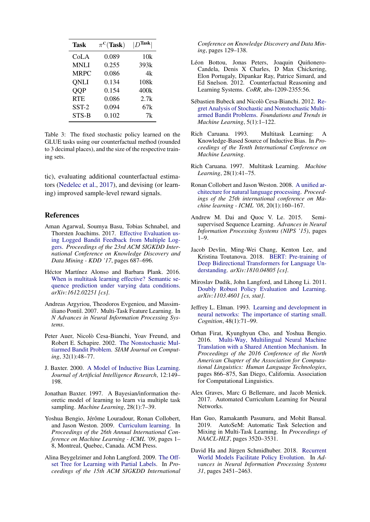<span id="page-8-21"></span>

| Task        | $\pi^C$ (Task) | $ D^{\text{Task}} $ |
|-------------|----------------|---------------------|
| CoLA        | 0.089          | 10k                 |
| <b>MNLI</b> | 0.255          | 393k                |
| <b>MRPC</b> | 0.086          | 4k                  |
| <b>ONLI</b> | 0.134          | 108k                |
| <b>OOP</b>  | 0.154          | 400k                |
| <b>RTE</b>  | 0.086          | 2.7k                |
| SST-2       | 0.094          | 67k                 |
| STS-B       | 0.102          | 7k                  |

Table 3: The fixed stochastic policy learned on the GLUE tasks using our counterfactual method (rounded to 3 decimal places), and the size of the respective training sets.

tic), evaluating additional counterfactual estimators [\(Nedelec et al.,](#page-9-22) [2017\)](#page-9-22), and devising (or learning) improved sample-level reward signals.

## References

- <span id="page-8-19"></span>Aman Agarwal, Soumya Basu, Tobias Schnabel, and Thorsten Joachims. 2017. [Effective Evaluation us](https://doi.org/10.1145/3097983.3098155)[ing Logged Bandit Feedback from Multiple Log](https://doi.org/10.1145/3097983.3098155)[gers.](https://doi.org/10.1145/3097983.3098155) *Proceedings of the 23rd ACM SIGKDD International Conference on Knowledge Discovery and Data Mining - KDD '17*, pages 687–696.
- <span id="page-8-11"></span>Héctor Martínez Alonso and Barbara Plank. 2016. [When is multitask learning effective? Semantic se](http://arxiv.org/abs/1612.02251)[quence prediction under varying data conditions.](http://arxiv.org/abs/1612.02251) *arXiv:1612.02251 [cs]*.
- <span id="page-8-7"></span>Andreas Argyriou, Theodoros Evgeniou, and Massimiliano Pontil. 2007. Multi-Task Feature Learning. In *N Advances in Neural Information Processing Systems*.
- <span id="page-8-14"></span>Peter Auer, Nicolò Cesa-Bianchi, Yoav Freund, and Robert E. Schapire. 2002. [The Nonstochastic Mul](https://doi.org/10.1137/S0097539701398375)[tiarmed Bandit Problem.](https://doi.org/10.1137/S0097539701398375) *SIAM Journal on Computing*, 32(1):48–77.
- <span id="page-8-6"></span>J. Baxter. 2000. [A Model of Inductive Bias Learning.](https://doi.org/10.1613/jair.731) *Journal of Artificial Intelligence Research*, 12:149– 198.
- <span id="page-8-8"></span>Jonathan Baxter. 1997. A Bayesian/information theoretic model of learning to learn via multiple task sampling. *Machine Learning*, 28(1):7–39.
- <span id="page-8-13"></span>Yoshua Bengio, Jérôme Louradour, Ronan Collobert, and Jason Weston. 2009. [Curriculum learning.](https://doi.org/10.1145/1553374.1553380) In *Proceedings of the 26th Annual International Conference on Machine Learning - ICML '09*, pages 1– 8, Montreal, Quebec, Canada. ACM Press.
- <span id="page-8-18"></span>Alina Beygelzimer and John Langford. 2009. [The Off](http://arxiv.org/abs/0812.4044)[set Tree for Learning with Partial Labels.](http://arxiv.org/abs/0812.4044) In *Proceedings of the 15th ACM SIGKDD International*

*Conference on Knowledge Discovery and Data Mining*, pages 129–138.

- <span id="page-8-4"></span>Léon Bottou, Jonas Peters, Joaquin Quiñonero-Candela, Denis X Charles, D Max Chickering, Elon Portugaly, Dipankar Ray, Patrice Simard, and Ed Snelson. 2012. Counterfactual Reasoning and Learning Systems. *CoRR*, abs-1209-2355:56.
- <span id="page-8-15"></span>Sébastien Bubeck and Nicolò Cesa-Bianchi. 2012. [Re](http://arxiv.org/abs/1204.5721)[gret Analysis of Stochastic and Nonstochastic Multi](http://arxiv.org/abs/1204.5721)[armed Bandit Problems.](http://arxiv.org/abs/1204.5721) *Foundations and Trends in Machine Learning*, 5(1):1–122.
- <span id="page-8-5"></span>Rich Caruana. 1993. Multitask Learning: A Knowledge-Based Source of Inductive Bias. In *Proceedings of the Tenth International Conference on Machine Learning*.
- <span id="page-8-2"></span>Rich Caruana. 1997. Multitask Learning. *Machine Learning*, 28(1):41–75.
- <span id="page-8-9"></span>Ronan Collobert and Jason Weston. 2008. [A unified ar](https://doi.org/10.1145/1390156.1390177)[chitecture for natural language processing.](https://doi.org/10.1145/1390156.1390177) *Proceedings of the 25th international conference on Machine learning - ICML '08*, 20(1):160–167.
- <span id="page-8-0"></span>Andrew M. Dai and Quoc V. Le. 2015. Semisupervised Sequence Learning. *Advances in Neural Information Processing Systems (NIPS '15)*, pages 1–9.
- <span id="page-8-1"></span>Jacob Devlin, Ming-Wei Chang, Kenton Lee, and Kristina Toutanova. 2018. [BERT: Pre-training of](http://arxiv.org/abs/1810.04805) [Deep Bidirectional Transformers for Language Un](http://arxiv.org/abs/1810.04805)[derstanding.](http://arxiv.org/abs/1810.04805) *arXiv:1810.04805 [cs]*.
- <span id="page-8-17"></span>Miroslav Dudik, John Langford, and Lihong Li. 2011. [Doubly Robust Policy Evaluation and Learning.](http://arxiv.org/abs/1103.4601) *arXiv:1103.4601 [cs, stat]*.
- <span id="page-8-12"></span>Jeffrey L. Elman. 1993. [Learning and development in](https://doi.org/10.1016/0010-0277(93)90058-4) [neural networks: The importance of starting small.](https://doi.org/10.1016/0010-0277(93)90058-4) *Cognition*, 48(1):71–99.
- <span id="page-8-10"></span>Orhan Firat, Kyunghyun Cho, and Yoshua Bengio. 2016. [Multi-Way, Multilingual Neural Machine](https://doi.org/10.18653/v1/N16-1101) [Translation with a Shared Attention Mechanism.](https://doi.org/10.18653/v1/N16-1101) In *Proceedings of the 2016 Conference of the North American Chapter of the Association for Computational Linguistics: Human Language Technologies*, pages 866–875, San Diego, California. Association for Computational Linguistics.
- <span id="page-8-3"></span>Alex Graves, Marc G Bellemare, and Jacob Menick. 2017. Automated Curriculum Learning for Neural Networks.
- <span id="page-8-16"></span>Han Guo, Ramakanth Pasunuru, and Mohit Bansal. 2019. AutoSeM: Automatic Task Selection and Mixing in Multi-Task Learning. In *Proceedings of NAACL-HLT*, pages 3520–3531.
- <span id="page-8-20"></span>David Ha and Jürgen Schmidhuber. 2018. [Recurrent](https://doi.org/10.5281/zenodo.1207631) [World Models Facilitate Policy Evolution.](https://doi.org/10.5281/zenodo.1207631) In *Advances in Neural Information Processing Systems 31*, pages 2451–2463.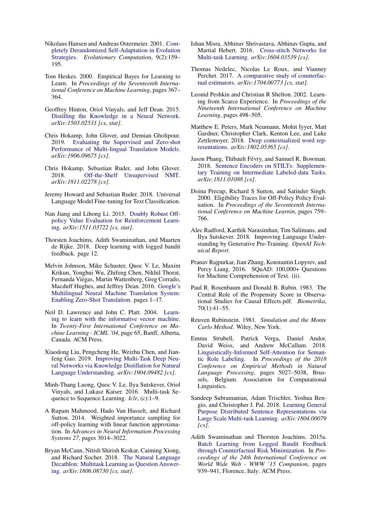- <span id="page-9-25"></span>Nikolaus Hansen and Andreas Ostermeier. 2001. [Com](https://doi.org/10.1162/106365601750190398)[pletely Derandomized Self-Adaptation in Evolution](https://doi.org/10.1162/106365601750190398) [Strategies.](https://doi.org/10.1162/106365601750190398) *Evolutionary Computation*, 9(2):159– 195.
- <span id="page-9-7"></span>Tom Heskes. 2000. Empirical Bayes for Learning to Learn. In *Proceedings of the Seventeenth International Conference on Machine Learning*, pages 367– 364.
- <span id="page-9-14"></span>Geoffrey Hinton, Oriol Vinyals, and Jeff Dean. 2015. [Distilling the Knowledge in a Neural Network.](http://arxiv.org/abs/1503.02531) *arXiv:1503.02531 [cs, stat]*.
- <span id="page-9-26"></span>Chris Hokamp, John Glover, and Demian Gholipour. 2019. [Evaluating the Supervised and Zero-shot](http://arxiv.org/abs/1906.09675) [Performance of Multi-lingual Translation Models.](http://arxiv.org/abs/1906.09675) *arXiv:1906.09675 [cs]*.
- <span id="page-9-12"></span>Chris Hokamp, Sebastian Ruder, and John Glover. 2018. [Off-the-Shelf Unsupervised NMT.](http://arxiv.org/abs/1811.02278) *arXiv:1811.02278 [cs]*.
- <span id="page-9-1"></span>Jeremy Howard and Sebastian Ruder. 2018. Universal Language Model Fine-tuning for Text Classification.
- <span id="page-9-19"></span>Nan Jiang and Lihong Li. 2015. [Doubly Robust Off](http://arxiv.org/abs/1511.03722)[policy Value Evaluation for Reinforcement Learn](http://arxiv.org/abs/1511.03722)[ing.](http://arxiv.org/abs/1511.03722) *arXiv:1511.03722 [cs, stat]*.
- <span id="page-9-21"></span>Thorsten Joachims, Adith Swaminathan, and Maarten de Rijke. 2018. Deep learning with logged bandit feedback. page 12.
- <span id="page-9-11"></span>Melvin Johnson, Mike Schuster, Quoc V. Le, Maxim Krikun, Yonghui Wu, Zhifeng Chen, Nikhil Thorat, Fernanda Viegas, Martin Wattenberg, Greg Corrado, ´ Macduff Hughes, and Jeffrey Dean. 2016. [Google's](https://doi.org/10.3115/v1/P15-1002) [Multilingual Neural Machine Translation System:](https://doi.org/10.3115/v1/P15-1002) [Enabling Zero-Shot Translation.](https://doi.org/10.3115/v1/P15-1002) pages 1–17.
- <span id="page-9-8"></span>Neil D. Lawrence and John C. Platt. 2004. [Learn](https://doi.org/10.1145/1015330.1015382)[ing to learn with the informative vector machine.](https://doi.org/10.1145/1015330.1015382) In *Twenty-First International Conference on Machine Learning - ICML '04*, page 65, Banff, Alberta, Canada. ACM Press.
- <span id="page-9-13"></span>Xiaodong Liu, Pengcheng He, Weizhu Chen, and Jianfeng Gao. 2019. [Improving Multi-Task Deep Neu](http://arxiv.org/abs/1904.09482)[ral Networks via Knowledge Distillation for Natural](http://arxiv.org/abs/1904.09482) [Language Understanding.](http://arxiv.org/abs/1904.09482) *arXiv:1904.09482 [cs]*.
- <span id="page-9-10"></span>Minh-Thang Luong, Quoc V. Le, Ilya Sutskever, Oriol Vinyals, and Lukasz Kaiser. 2016. Multi-task Sequence to Sequence Learning. *Iclr*, (c):1–9.
- <span id="page-9-24"></span>A Rupam Mahmood, Hado Van Hasselt, and Richard Sutton. 2014. Weighted importance sampling for off-policy learning with linear function approximation. In *Advances in Neural Information Processing Systems 27*, pages 3014–3022.
- <span id="page-9-15"></span>Bryan McCann, Nitish Shirish Keskar, Caiming Xiong, and Richard Socher. 2018. [The Natural Language](http://arxiv.org/abs/1806.08730) [Decathlon: Multitask Learning as Question Answer](http://arxiv.org/abs/1806.08730)[ing.](http://arxiv.org/abs/1806.08730) *arXiv:1806.08730 [cs, stat]*.
- <span id="page-9-6"></span>Ishan Misra, Abhinav Shrivastava, Abhinav Gupta, and Martial Hebert. 2016. [Cross-stitch Networks for](http://arxiv.org/abs/1604.03539) [Multi-task Learning.](http://arxiv.org/abs/1604.03539) *arXiv:1604.03539 [cs]*.
- <span id="page-9-22"></span>Thomas Nedelec, Nicolas Le Roux, and Vianney Perchet. 2017. [A comparative study of counterfac](http://arxiv.org/abs/1704.00773)[tual estimators.](http://arxiv.org/abs/1704.00773) *arXiv:1704.00773 [cs, stat]*.
- <span id="page-9-17"></span>Leonid Peshkin and Christian R Shelton. 2002. Learning from Scarce Experience. In *Proceedings of the Nineteenth International Conference on Machine Learning*, pages 498–505.
- <span id="page-9-0"></span>Matthew E. Peters, Mark Neumann, Mohit Iyyer, Matt Gardner, Christopher Clark, Kenton Lee, and Luke Zettlemoyer. 2018. [Deep contextualized word rep](http://arxiv.org/abs/1802.05365)[resentations.](http://arxiv.org/abs/1802.05365) *arXiv:1802.05365 [cs]*.
- <span id="page-9-5"></span>Jason Phang, Thibault Févry, and Samuel R. Bowman. 2018. [Sentence Encoders on STILTs: Supplemen](http://arxiv.org/abs/1811.01088)[tary Training on Intermediate Labeled-data Tasks.](http://arxiv.org/abs/1811.01088) *arXiv:1811.01088 [cs]*.
- <span id="page-9-16"></span>Doina Precup, Richard S Sutton, and Satinder Singh. 2000. Eligibility Traces for Off-Policy Policy Evaluation. In *Proceedings of the Seventeenth International Conference on Machine Learnin*, pages 759– 766.
- <span id="page-9-2"></span>Alec Radford, Karthik Narasimhan, Tim Salimans, and Ilya Sutskever. 2018. Improving Language Understanding by Generative Pre-Training. *OpenAI Technical Report*.
- <span id="page-9-3"></span>Pranav Rajpurkar, Jian Zhang, Konstantin Lopyrev, and Percy Liang. 2016. SQuAD: 100,000+ Questions for Machine Comprehension of Text. (ii).
- <span id="page-9-20"></span>Paul R. Rosenbaum and Donald B. Rubin. 1983. The Central Role of the Propensity Score in Observational Studies for Causal Effects.pdf. *Biometrika*, 70(1):41–55.
- <span id="page-9-23"></span>Reuven Rubinstein. 1981. *Simulation and the Monte Carlo Method*. Wiley, New York.
- <span id="page-9-9"></span>Emma Strubell, Patrick Verga, Daniel Andor, David Weiss, and Andrew McCallum. 2018. [Linguistically-Informed Self-Attention for Seman](https://doi.org/10.18653/v1/D18-1548)[tic Role Labeling.](https://doi.org/10.18653/v1/D18-1548) In *Proceedings of the 2018 Conference on Empirical Methods in Natural Language Processing*, pages 5027–5038, Brussels, Belgium. Association for Computational Linguistics.
- <span id="page-9-4"></span>Sandeep Subramanian, Adam Trischler, Yoshua Bengio, and Christopher J. Pal. 2018. [Learning General](http://arxiv.org/abs/1804.00079) [Purpose Distributed Sentence Representations via](http://arxiv.org/abs/1804.00079) [Large Scale Multi-task Learning.](http://arxiv.org/abs/1804.00079) *arXiv:1804.00079 [cs]*.
- <span id="page-9-18"></span>Adith Swaminathan and Thorsten Joachims. 2015a. [Batch Learning from Logged Bandit Feedback](https://doi.org/10.1145/2740908.2742564) [through Counterfactual Risk Minimization.](https://doi.org/10.1145/2740908.2742564) In *Proceedings of the 24th International Conference on World Wide Web - WWW '15 Companion*, pages 939–941, Florence, Italy. ACM Press.